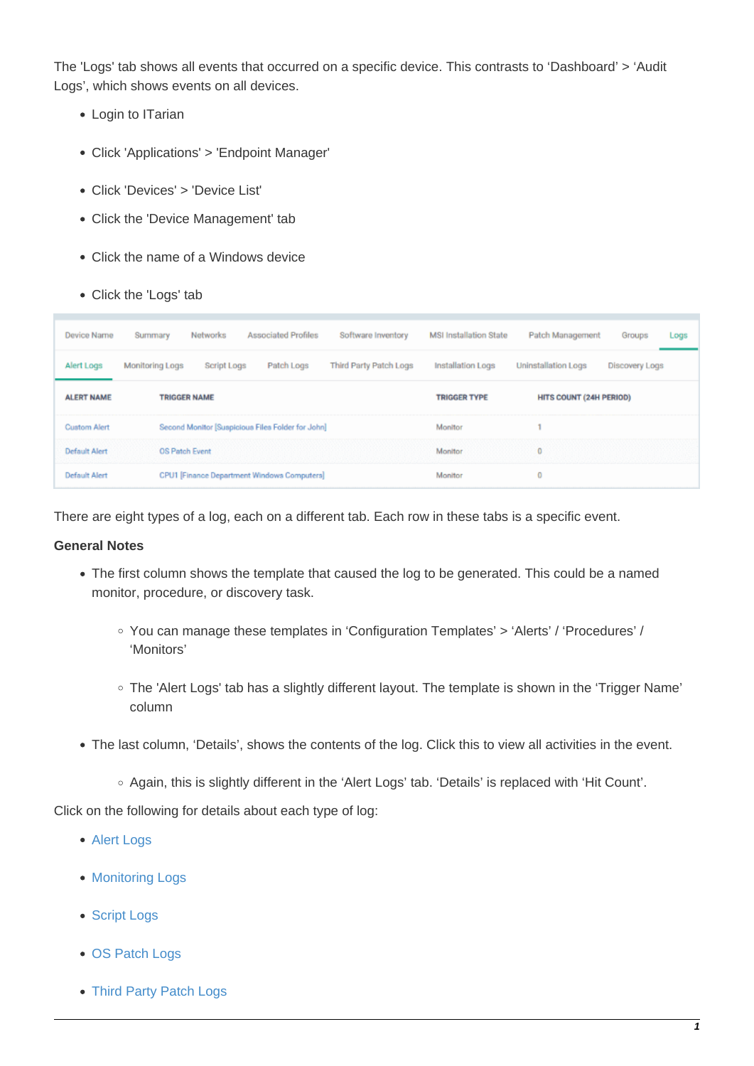The 'Logs' tab shows all events that occurred on a specific device. This contrasts to 'Dashboard' > 'Audit Logs', which shows events on all devices.

- Login to ITarian
- Click 'Applications' > 'Endpoint Manager'
- Click 'Devices' > 'Device List'
- Click the 'Device Management' tab
- Click the name of a Windows device
- Click the 'Logs' tab

| <b>Device Name</b>   | Summary                | Networks            | <b>Associated Profiles</b>                        | Software Inventory     | <b>MSI Installation State</b> | Patch Management           | Groups         | Logs |
|----------------------|------------------------|---------------------|---------------------------------------------------|------------------------|-------------------------------|----------------------------|----------------|------|
| Alert Logs           | <b>Monitoring Logs</b> | Script Logs         | Patch Logs                                        | Third Party Patch Logs | Installation Logs             | <b>Uninstallation Logs</b> | Discovery Logs |      |
| <b>ALERT NAME</b>    |                        | <b>TRIGGER NAME</b> |                                                   |                        | <b>TRIGGER TYPE</b>           | HITS COUNT (24H PERIOD)    |                |      |
| <b>Custom Alert</b>  |                        |                     | Second Monitor [Suspicious Files Folder for John] |                        | Monitor                       |                            |                |      |
| <b>Default Alert</b> | OS Patch Event         |                     |                                                   |                        | Monitor                       | 0                          |                |      |
| <b>Default Alert</b> |                        |                     | CPU1 [Finance Department Windows Computers]       |                        | Monitor                       | 0                          |                |      |

There are eight types of a log, each on a different tab. Each row in these tabs is a specific event.

## **General Notes**

- The first column shows the template that caused the log to be generated. This could be a named monitor, procedure, or discovery task.
	- You can manage these templates in 'Configuration Templates' > 'Alerts' / 'Procedures' / 'Monitors'
	- The 'Alert Logs' tab has a slightly different layout. The template is shown in the 'Trigger Name' column
- The last column, 'Details', shows the contents of the log. Click this to view all activities in the event.
	- Again, this is slightly different in the 'Alert Logs' tab. 'Details' is replaced with 'Hit Count'.

Click on the following for details about each type of log:

- [Alert Logs](#page-1-0)
- [Monitoring Logs](#page-1-1)
- [Script Logs](#page-3-0)
- [OS Patch Logs](#page-6-0)
- [Third Party Patch Logs](#page-8-0)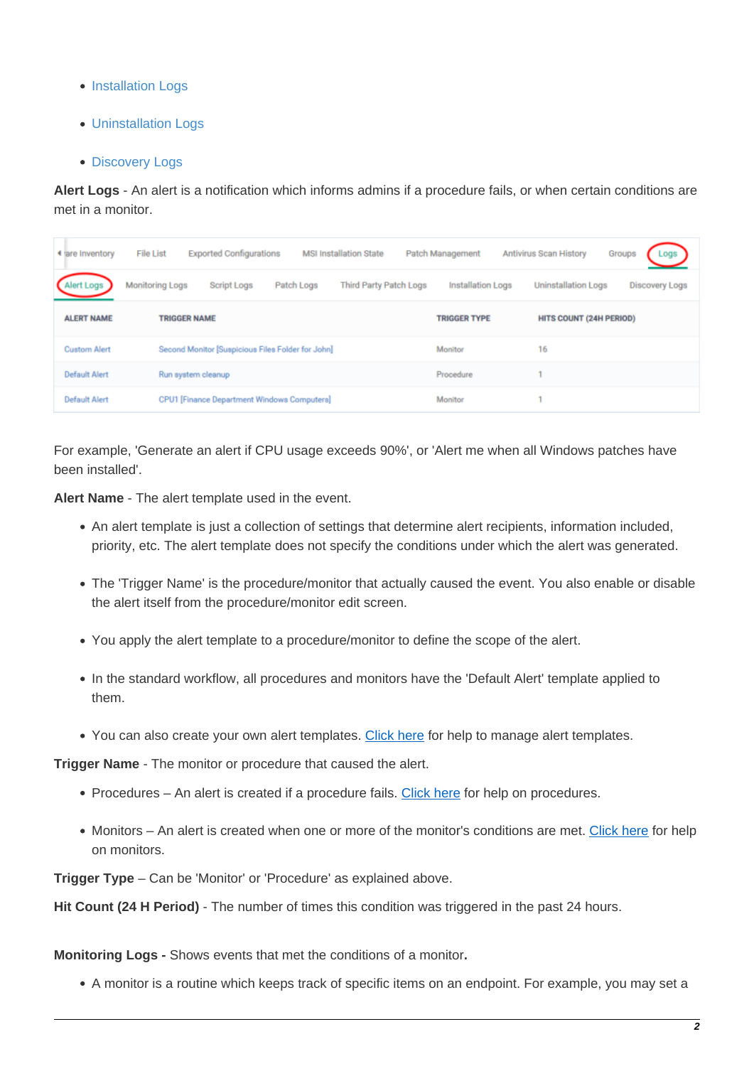- [Installation Logs](#page-9-0)
- [Uninstallation Logs](#page-10-0)
- [Discovery Logs](#page-11-0)

<span id="page-1-0"></span>**Alert Logs** - An alert is a notification which informs admins if a procedure fails, or when certain conditions are met in a monitor.

| 4 are inventory      | <b>Exported Configurations</b><br><b>File List</b> | <b>MSI Installation State</b>               | Patch Management    | <b>Antivirus Scan History</b>  | .ogs<br>Groups        |
|----------------------|----------------------------------------------------|---------------------------------------------|---------------------|--------------------------------|-----------------------|
| rt Logs              | Monitoring Logs<br><b>Script Logs</b>              | <b>Third Party Patch Logs</b><br>Patch Logs | Installation Logs   | <b>Uninstallation Logs</b>     | <b>Discovery Logs</b> |
| <b>ALERT NAME</b>    | <b>TRIGGER NAME</b>                                |                                             | <b>TRIGGER TYPE</b> | <b>HITS COUNT (24H PERIOD)</b> |                       |
| <b>Custom Alert</b>  | Second Monitor [Suspicious Files Folder for John]  |                                             | Monitor             | 16                             |                       |
| <b>Default Alert</b> | Run system cleanup                                 |                                             | Procedure           |                                |                       |
| <b>Default Alert</b> | CPU1 [Finance Department Windows Computers]        |                                             | Monitor             |                                |                       |

For example, 'Generate an alert if CPU usage exceeds 90%', or 'Alert me when all Windows patches have been installed'.

**Alert Name** - The alert template used in the event.

- An alert template is just a collection of settings that determine alert recipients, information included, priority, etc. The alert template does not specify the conditions under which the alert was generated.
- The 'Trigger Name' is the procedure/monitor that actually caused the event. You also enable or disable the alert itself from the procedure/monitor edit screen.
- You apply the alert template to a procedure/monitor to define the scope of the alert.
- In the standard workflow, all procedures and monitors have the 'Default Alert' template applied to them.
- You can also create your own alert templates. [Click here](https://wiki.itarian.com/frontend/web/topic/how-to-configure-alerts-in-endpoint-manager) for help to manage alert templates.

**Trigger Name** - The monitor or procedure that caused the alert.

- Procedures An alert is created if a procedure fails. [Click here](https://wiki.itarian.com/frontend/web/topic/how-to-configure-and-run-procedures-on-managed-devices) for help on procedures.
- Monitors An alert is created when one or more of the monitor's conditions are met. [Click here](https://wiki.itarian.com/frontend/web/topic/how-to-use-monitors-to-track-endpoint-performance) for help on monitors.

**Trigger Type** – Can be 'Monitor' or 'Procedure' as explained above.

**Hit Count (24 H Period)** - The number of times this condition was triggered in the past 24 hours.

<span id="page-1-1"></span>**Monitoring Logs -** Shows events that met the conditions of a monitor**.**

A monitor is a routine which keeps track of specific items on an endpoint. For example, you may set a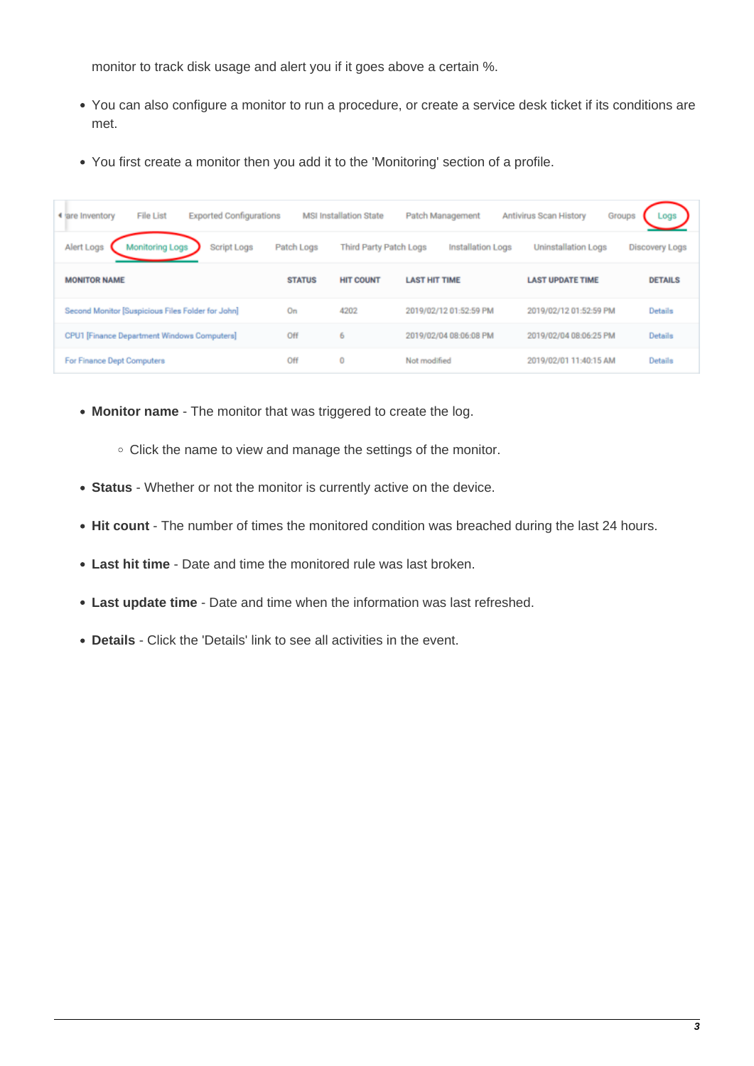monitor to track disk usage and alert you if it goes above a certain %.

- You can also configure a monitor to run a procedure, or create a service desk ticket if its conditions are met.
- You first create a monitor then you add it to the 'Monitoring' section of a profile.

| <b>File List</b><br><b>Exported Configurations</b><br>4 are inventory |               | <b>MSI Installation State</b> | Patch Management         | Antivirus Scan History     | Groups                |
|-----------------------------------------------------------------------|---------------|-------------------------------|--------------------------|----------------------------|-----------------------|
| Alert Logs<br><b>Script Logs</b><br><b>Monitoring Logs</b>            | Patch Logs    | <b>Third Party Patch Logs</b> | <b>Installation Logs</b> | <b>Uninstallation Logs</b> | <b>Discovery Logs</b> |
| <b>MONITOR NAME</b>                                                   | <b>STATUS</b> | <b>HIT COUNT</b>              | <b>LAST HIT TIME</b>     | <b>LAST UPDATE TIME</b>    | <b>DETAILS</b>        |
| Second Monitor [Suspicious Files Folder for John]                     | On            | 4202                          | 2019/02/12 01:52:59 PM   | 2019/02/12 01:52:59 PM     | Details               |
| CPU1 [Finance Department Windows Computers]                           | Off           | 6                             | 2019/02/04 08:06:08 PM   | 2019/02/04 08:06:25 PM     | Details               |
| For Finance Dept Computers                                            | Off           | $\bf{0}$                      | Not modified             | 2019/02/01 11:40:15 AM     | Details               |

- **Monitor name** The monitor that was triggered to create the log.
	- Click the name to view and manage the settings of the monitor.
- **Status** Whether or not the monitor is currently active on the device.
- **Hit count**  The number of times the monitored condition was breached during the last 24 hours.
- **Last hit time** Date and time the monitored rule was last broken.
- **Last update time** Date and time when the information was last refreshed.
- **Details** Click the 'Details' link to see all activities in the event.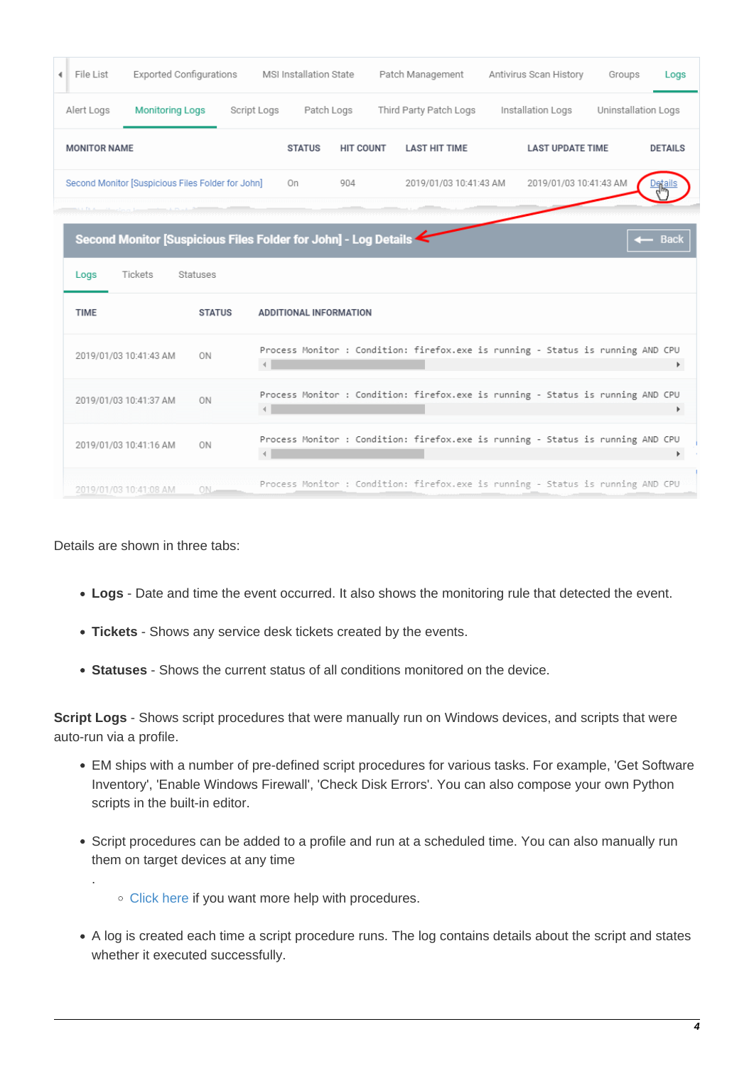| 4 File List         | <b>Exported Configurations</b>                                  |                |              | MSI Installation State        |                  | Patch Management                                                                |  | Antivirus Scan History  | Groups              | Logs           |
|---------------------|-----------------------------------------------------------------|----------------|--------------|-------------------------------|------------------|---------------------------------------------------------------------------------|--|-------------------------|---------------------|----------------|
| Alert Logs          | <b>Monitoring Logs</b>                                          |                | Script Logs  | Patch Logs                    |                  | Third Party Patch Logs                                                          |  | Installation Logs       | Uninstallation Logs |                |
| <b>MONITOR NAME</b> |                                                                 |                |              | <b>STATUS</b>                 | <b>HIT COUNT</b> | <b>LAST HIT TIME</b>                                                            |  | <b>LAST UPDATE TIME</b> |                     | <b>DETAILS</b> |
|                     | Second Monitor [Suspicious Files Folder for John]               |                |              | On                            | 904              | 2019/01/03 10:41:43 AM                                                          |  | 2019/01/03 10:41:43 AM  |                     |                |
|                     |                                                                 |                |              |                               |                  |                                                                                 |  |                         |                     |                |
|                     | Second Monitor [Suspicious Files Folder for John] - Log Details |                |              |                               |                  |                                                                                 |  |                         |                     | <b>Back</b>    |
| Logs                | Tickets                                                         | Statuses       |              |                               |                  |                                                                                 |  |                         |                     |                |
| <b>TIME</b>         |                                                                 | <b>STATUS</b>  |              | <b>ADDITIONAL INFORMATION</b> |                  |                                                                                 |  |                         |                     |                |
|                     | 2019/01/03 10:41:43 AM                                          | ON             |              |                               |                  | Process Monitor : Condition: firefox.exe is running - Status is running AND CPU |  |                         |                     | Þ.             |
|                     | 2019/01/03 10:41:37 AM                                          | 0 <sub>N</sub> |              |                               |                  | Process Monitor : Condition: firefox.exe is running - Status is running AND CPU |  |                         |                     | Þ              |
|                     | 2019/01/03 10:41:16 AM                                          | 0 <sub>N</sub> | $\leftarrow$ |                               |                  | Process Monitor : Condition: firefox.exe is running - Status is running AND CPU |  |                         |                     | k              |
|                     | 2019/01/03 10:41:08 AM                                          | 0N.            |              |                               |                  | Process Monitor : Condition: firefox.exe is running - Status is running AND CPU |  |                         |                     |                |

Details are shown in three tabs:

.

- **Logs**  Date and time the event occurred. It also shows the monitoring rule that detected the event.
- **Tickets** Shows any service desk tickets created by the events.
- **Statuses** Shows the current status of all conditions monitored on the device.

<span id="page-3-0"></span>**Script Logs** - Shows script procedures that were manually run on Windows devices, and scripts that were auto-run via a profile.

- EM ships with a number of pre-defined script procedures for various tasks. For example, 'Get Software Inventory', 'Enable Windows Firewall', 'Check Disk Errors'. You can also compose your own Python scripts in the built-in editor.
- Script procedures can be added to a profile and run at a scheduled time. You can also manually run them on target devices at any time
	- [Click here](https://wiki.itarian.com/frontend/web/topic/how-to-configure-and-run-procedures-on-managed-devices) if you want more help with procedures.
- A log is created each time a script procedure runs. The log contains details about the script and states whether it executed successfully.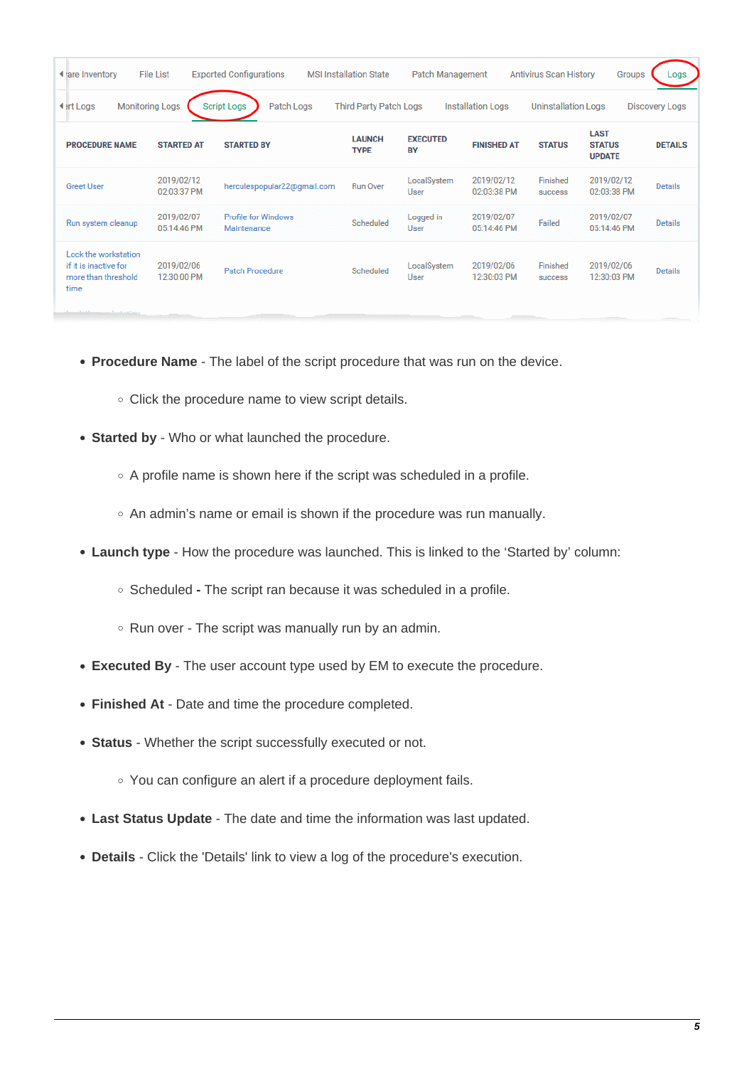| ◀ are Inventory                                                                                                                                                                                     | <b>File List</b>          | <b>Exported Configurations</b>            | <b>MSI Installation State</b> | Patch Management             |                           | <b>Antivirus Scan History</b> | Groups                                        | Logs           |  |
|-----------------------------------------------------------------------------------------------------------------------------------------------------------------------------------------------------|---------------------------|-------------------------------------------|-------------------------------|------------------------------|---------------------------|-------------------------------|-----------------------------------------------|----------------|--|
| <b>Monitoring Logs</b><br><b>Script Logs</b><br>Patch Logs<br><b>Third Party Patch Logs</b><br><b>◀ irt Logs</b><br><b>Installation Logs</b><br><b>Uninstallation Logs</b><br><b>Discovery Logs</b> |                           |                                           |                               |                              |                           |                               |                                               |                |  |
| <b>PROCEDURE NAME</b>                                                                                                                                                                               | <b>STARTED AT</b>         | <b>STARTED BY</b>                         | <b>LAUNCH</b><br><b>TYPE</b>  | <b>EXECUTED</b><br><b>BY</b> | <b>FINISHED AT</b>        | <b>STATUS</b>                 | <b>LAST</b><br><b>STATUS</b><br><b>UPDATE</b> | <b>DETAILS</b> |  |
| <b>Greet User</b>                                                                                                                                                                                   | 2019/02/12<br>02:03:37 PM | herculespopular22@gmail.com               | <b>Run Over</b>               | LocalSystem<br>User          | 2019/02/12<br>02:03:38 PM | Finished<br>success           | 2019/02/12<br>02:03:38 PM                     | <b>Details</b> |  |
| Run system cleanup                                                                                                                                                                                  | 2019/02/07<br>05:14:46 PM | <b>Profile for Windows</b><br>Maintenance | Scheduled                     | Logged in<br>User            | 2019/02/07<br>05:14:46 PM | Failed                        | 2019/02/07<br>05:14:46 PM                     | <b>Details</b> |  |
| Lock the workstation<br>if it is inactive for<br>more than threshold<br>time                                                                                                                        | 2019/02/06<br>12:30:00 PM | <b>Patch Procedure</b>                    | Scheduled                     | LocalSystem<br>User          | 2019/02/06<br>12:30:03 PM | Finished<br>success           | 2019/02/06<br>12:30:03 PM                     | <b>Details</b> |  |

- **Procedure Name** The label of the script procedure that was run on the device.
	- o Click the procedure name to view script details.
- **Started by** Who or what launched the procedure.
	- $\circ$  A profile name is shown here if the script was scheduled in a profile.
	- An admin's name or email is shown if the procedure was run manually.
- **Launch type** How the procedure was launched. This is linked to the 'Started by' column:
	- Scheduled **-** The script ran because it was scheduled in a profile.
	- $\circ$  Run over The script was manually run by an admin.
- **Executed By** The user account type used by EM to execute the procedure.
- **Finished At** Date and time the procedure completed.
- **Status** Whether the script successfully executed or not.
	- You can configure an alert if a procedure deployment fails.
- **Last Status Update** The date and time the information was last updated.
- **Details** Click the 'Details' link to view a log of the procedure's execution.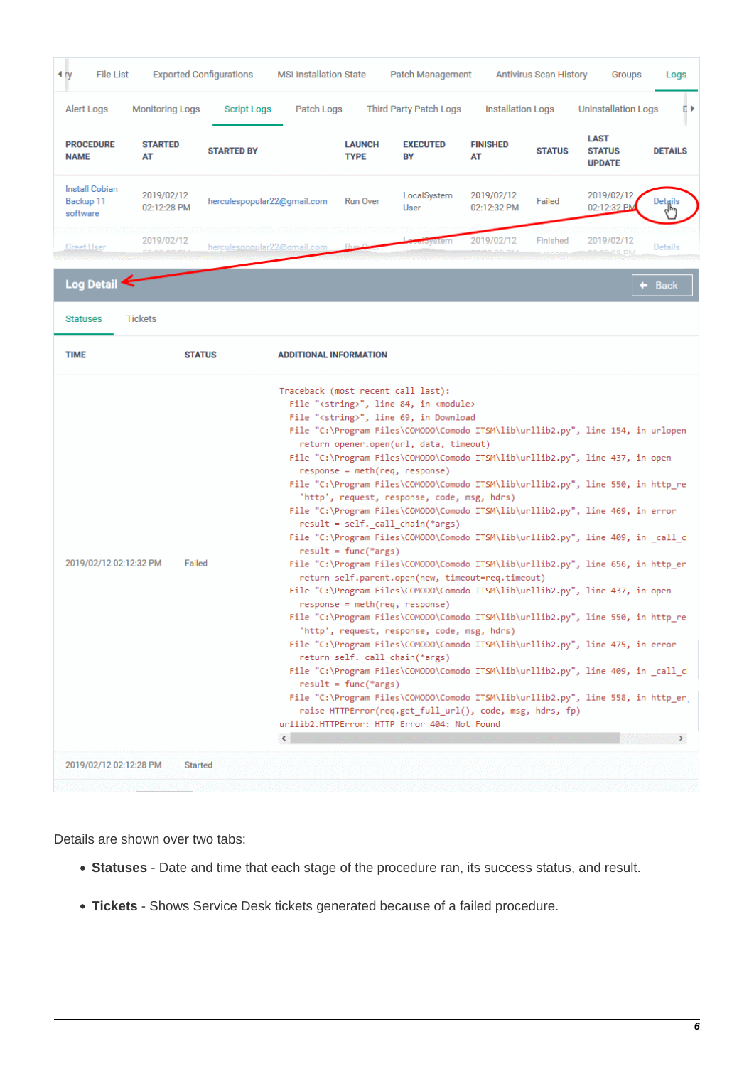| Alert Logs<br><b>PROCEDURE</b><br><b>NAME</b>  | <b>Monitoring Logs</b>    | <b>Script Logs</b>          | Patch Logs                    |                                                  | <b>Third Party Patch Logs</b>                                                                                                                                                                                                                                                                                                                                                                                                                                                                                                                                                                                                                                                                                                                                                                                                                                                                                                                                                                                                                                                                                                                                                                                                                                                                                                                                                                                                                                                                                                                                                |                           |               |                                               |                      |
|------------------------------------------------|---------------------------|-----------------------------|-------------------------------|--------------------------------------------------|------------------------------------------------------------------------------------------------------------------------------------------------------------------------------------------------------------------------------------------------------------------------------------------------------------------------------------------------------------------------------------------------------------------------------------------------------------------------------------------------------------------------------------------------------------------------------------------------------------------------------------------------------------------------------------------------------------------------------------------------------------------------------------------------------------------------------------------------------------------------------------------------------------------------------------------------------------------------------------------------------------------------------------------------------------------------------------------------------------------------------------------------------------------------------------------------------------------------------------------------------------------------------------------------------------------------------------------------------------------------------------------------------------------------------------------------------------------------------------------------------------------------------------------------------------------------------|---------------------------|---------------|-----------------------------------------------|----------------------|
|                                                |                           |                             |                               |                                                  |                                                                                                                                                                                                                                                                                                                                                                                                                                                                                                                                                                                                                                                                                                                                                                                                                                                                                                                                                                                                                                                                                                                                                                                                                                                                                                                                                                                                                                                                                                                                                                              | <b>Installation Logs</b>  |               | <b>Uninstallation Logs</b>                    | DΡ                   |
|                                                | <b>STARTED</b><br>AT      | <b>STARTED BY</b>           |                               | <b>LAUNCH</b><br><b>TYPE</b>                     | <b>EXECUTED</b><br>BY                                                                                                                                                                                                                                                                                                                                                                                                                                                                                                                                                                                                                                                                                                                                                                                                                                                                                                                                                                                                                                                                                                                                                                                                                                                                                                                                                                                                                                                                                                                                                        | <b>FINISHED</b><br>AT     | <b>STATUS</b> | <b>LAST</b><br><b>STATUS</b><br><b>UPDATE</b> | <b>DETAILS</b>       |
| <b>Install Cobian</b><br>Backup 11<br>software | 2019/02/12<br>02:12:28 PM | herculespopular22@gmail.com |                               | <b>Run Over</b>                                  | LocalSystem<br><b>User</b>                                                                                                                                                                                                                                                                                                                                                                                                                                                                                                                                                                                                                                                                                                                                                                                                                                                                                                                                                                                                                                                                                                                                                                                                                                                                                                                                                                                                                                                                                                                                                   | 2019/02/12<br>02:12:32 PM | Failed        | 2019/02/12<br>02:12:32 PM                     | Details              |
| <b>Greet User</b>                              | 2019/02/12                | herculespopular22@gmail.com |                               |                                                  | oystem                                                                                                                                                                                                                                                                                                                                                                                                                                                                                                                                                                                                                                                                                                                                                                                                                                                                                                                                                                                                                                                                                                                                                                                                                                                                                                                                                                                                                                                                                                                                                                       | 2019/02/12                | Finished      | 2019/02/12<br><b>MROV29.PM</b>                | Details              |
| Log Detail                                     |                           |                             |                               |                                                  |                                                                                                                                                                                                                                                                                                                                                                                                                                                                                                                                                                                                                                                                                                                                                                                                                                                                                                                                                                                                                                                                                                                                                                                                                                                                                                                                                                                                                                                                                                                                                                              |                           |               |                                               | $\blacklozenge$ Back |
| <b>Statuses</b>                                | <b>Tickets</b>            |                             |                               |                                                  |                                                                                                                                                                                                                                                                                                                                                                                                                                                                                                                                                                                                                                                                                                                                                                                                                                                                                                                                                                                                                                                                                                                                                                                                                                                                                                                                                                                                                                                                                                                                                                              |                           |               |                                               |                      |
| <b>TIME</b>                                    | <b>STATUS</b>             |                             | <b>ADDITIONAL INFORMATION</b> |                                                  |                                                                                                                                                                                                                                                                                                                                                                                                                                                                                                                                                                                                                                                                                                                                                                                                                                                                                                                                                                                                                                                                                                                                                                                                                                                                                                                                                                                                                                                                                                                                                                              |                           |               |                                               |                      |
| 2019/02/12 02:12:32 PM                         | Failed                    |                             |                               | $result = func(*args)$<br>$result = func(*args)$ | Traceback (most recent call last):<br>File " <string>", line 84, in <module><br/>File "<string>", line 69, in Download<br/>File "C:\Program Files\COMODO\Comodo ITSM\lib\urllib2.py", line 154, in urlopen<br/>return opener.open(url, data, timeout)<br/>File "C:\Program Files\COMODO\Comodo ITSM\lib\urllib2.py", line 437, in open<br/>response = meth(req, response)<br/>File "C:\Program Files\COMODO\Comodo ITSM\lib\urllib2.py", line 550, in http re<br/>'http', request, response, code, msg, hdrs)<br/>File "C:\Program Files\COMODO\Comodo ITSM\lib\urllib2.py", line 469, in error<br/>result = self._call_chain(*args)<br/>File "C:\Program Files\COMODO\Comodo ITSM\lib\urllib2.py", line 409, in _call_c<br/>File "C:\Program Files\COMODO\Comodo ITSM\lib\urllib2.py", line 656, in http_er<br/>return self.parent.open(new, timeout=req.timeout)<br/>File "C:\Program Files\COMODO\Comodo ITSM\lib\urllib2.py", line 437, in open<br/><math>response = meth(req, response)</math><br/>File "C:\Program Files\COMODO\Comodo ITSM\lib\urllib2.py", line 550, in http_re<br/>'http', request, response, code, msg, hdrs)<br/>File "C:\Program Files\COMODO\Comodo ITSM\lib\urllib2.py", line 475, in error<br/>return self._call_chain(*args)<br/>File "C:\Program Files\COMODO\Comodo ITSM\lib\urllib2.py", line 409, in call c<br/>File "C:\Program Files\COMODO\Comodo ITSM\lib\urllib2.py", line 558, in http_er<br/>raise HTTPError(req.get_full_url(), code, msg, hdrs, fp)<br/>urllib2.HTTPError: HTTP Error 404: Not Found</string></module></string> |                           |               |                                               |                      |

Details are shown over two tabs:

- **Statuses** Date and time that each stage of the procedure ran, its success status, and result.
- **Tickets** Shows Service Desk tickets generated because of a failed procedure.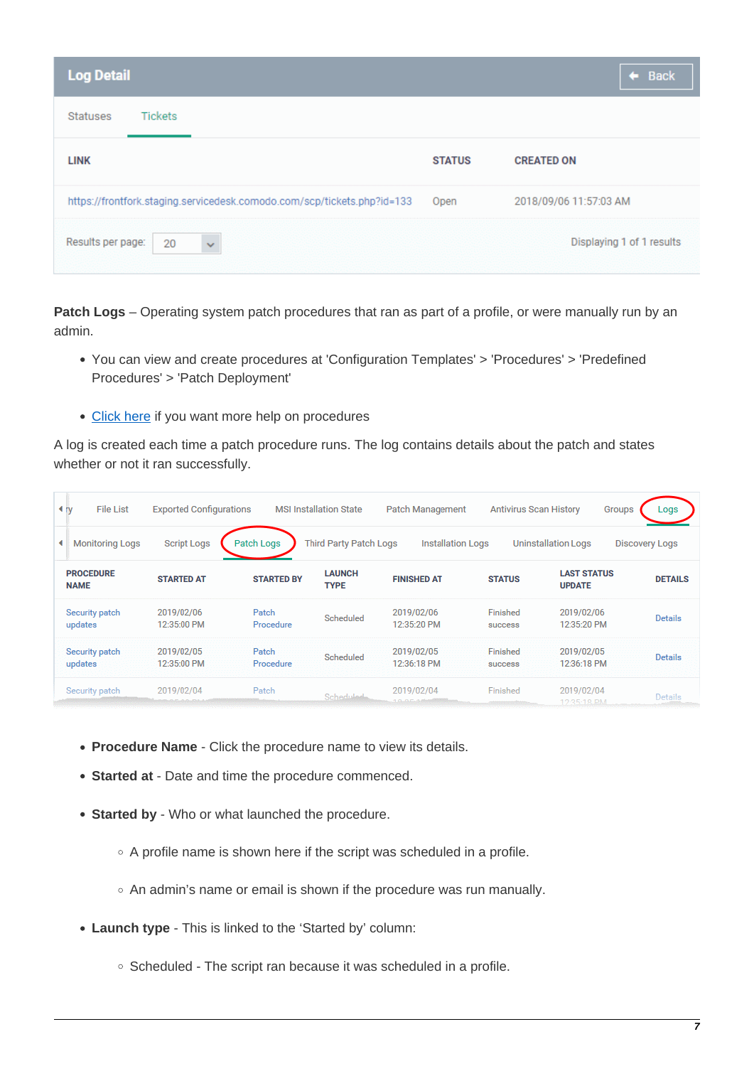| <b>Log Detail</b>                                                       |               | $\leftarrow$ Back         |
|-------------------------------------------------------------------------|---------------|---------------------------|
| <b>Tickets</b><br><b>Statuses</b>                                       |               |                           |
| <b>LINK</b>                                                             | <b>STATUS</b> | <b>CREATED ON</b>         |
| https://frontfork.staging.servicedesk.comodo.com/scp/tickets.php?id=133 | Open          | 2018/09/06 11:57:03 AM    |
| $\ddot{\mathbf{v}}$<br>Results per page:<br>20                          |               | Displaying 1 of 1 results |

<span id="page-6-0"></span>**Patch Logs** – Operating system patch procedures that ran as part of a profile, or were manually run by an admin.

- You can view and create procedures at 'Configuration Templates' > 'Procedures' > 'Predefined Procedures' > 'Patch Deployment'
- [Click here](https://wiki.itarian.com/frontend/web/topic/how-to-configure-and-run-procedures-on-managed-devices) if you want more help on procedures

A log is created each time a patch procedure runs. The log contains details about the patch and states whether or not it ran successfully.

| 4 <sub>IV</sub>                 | <b>File List</b>       | <b>Exported Configurations</b> |                    | <b>MSI Installation State</b> | Patch Management          | <b>Antivirus Scan History</b> |                                     | Groups | Logs                  |
|---------------------------------|------------------------|--------------------------------|--------------------|-------------------------------|---------------------------|-------------------------------|-------------------------------------|--------|-----------------------|
| ◂                               | <b>Monitoring Logs</b> | <b>Script Logs</b>             | Patch Logs         | <b>Third Party Patch Logs</b> | <b>Installation Logs</b>  |                               | <b>Uninstallation Logs</b>          |        | <b>Discovery Logs</b> |
| <b>PROCEDURE</b><br><b>NAME</b> |                        | <b>STARTED AT</b>              | <b>STARTED BY</b>  | <b>LAUNCH</b><br><b>TYPE</b>  | <b>FINISHED AT</b>        | <b>STATUS</b>                 | <b>LAST STATUS</b><br><b>UPDATE</b> |        | <b>DETAILS</b>        |
| Security patch<br>updates       |                        | 2019/02/06<br>12:35:00 PM      | Patch<br>Procedure | Scheduled                     | 2019/02/06<br>12:35:20 PM | Finished<br><b>SUCCESS</b>    | 2019/02/06<br>12:35:20 PM           |        | <b>Details</b>        |
| Security patch<br>updates       |                        | 2019/02/05<br>12:35:00 PM      | Patch<br>Procedure | Scheduled                     | 2019/02/05<br>12:36:18 PM | Finished<br>success           | 2019/02/05<br>12:36:18 PM           |        | <b>Details</b>        |
| Security patch                  |                        | 2019/02/04                     | Patch              | <b>Schedulade</b>             | 2019/02/04<br>10.05       | Finished                      | 2019/02/04<br>19-95-19 DM           |        | Details               |

- **Procedure Name** Click the procedure name to view its details.
- **Started at**  Date and time the procedure commenced.
- **Started by** Who or what launched the procedure.
	- $\circ$  A profile name is shown here if the script was scheduled in a profile.
	- An admin's name or email is shown if the procedure was run manually.
- **Launch type** This is linked to the 'Started by' column:
	- $\circ$  Scheduled The script ran because it was scheduled in a profile.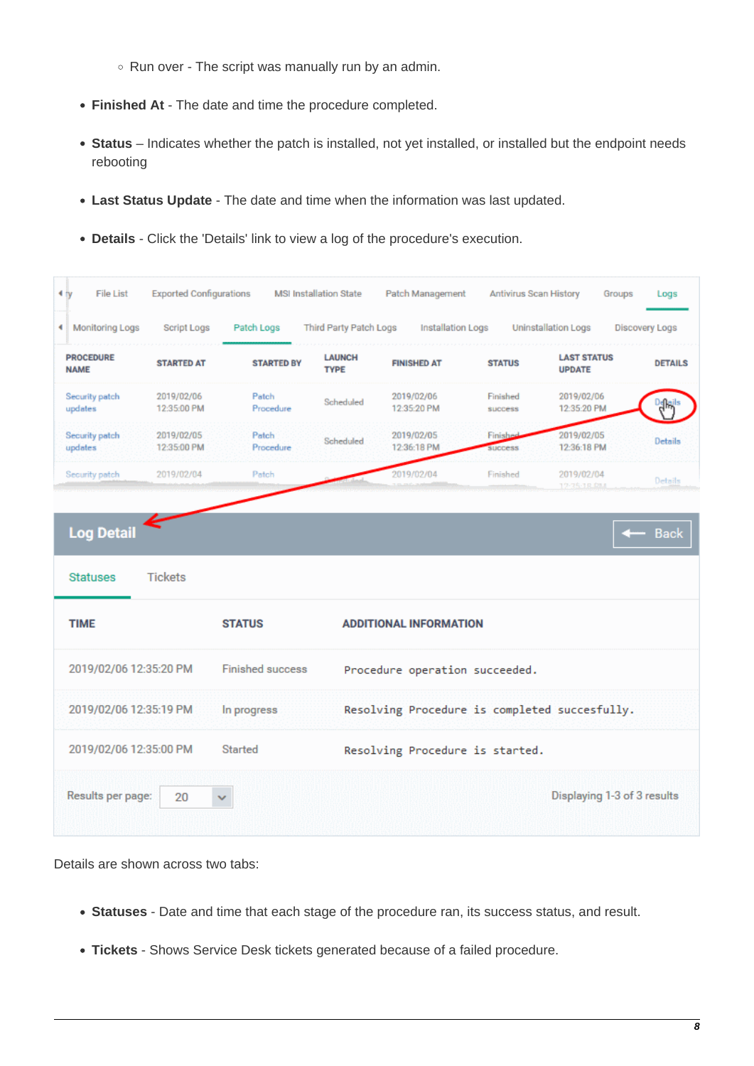- $\circ$  Run over The script was manually run by an admin.
- **Finished At** The date and time the procedure completed.
- **Status** Indicates whether the patch is installed, not yet installed, or installed but the endpoint needs rebooting
- **Last Status Update** The date and time when the information was last updated.
- **Details** Click the 'Details' link to view a log of the procedure's execution.



Details are shown across two tabs:

- **Statuses** Date and time that each stage of the procedure ran, its success status, and result.
- **Tickets** Shows Service Desk tickets generated because of a failed procedure.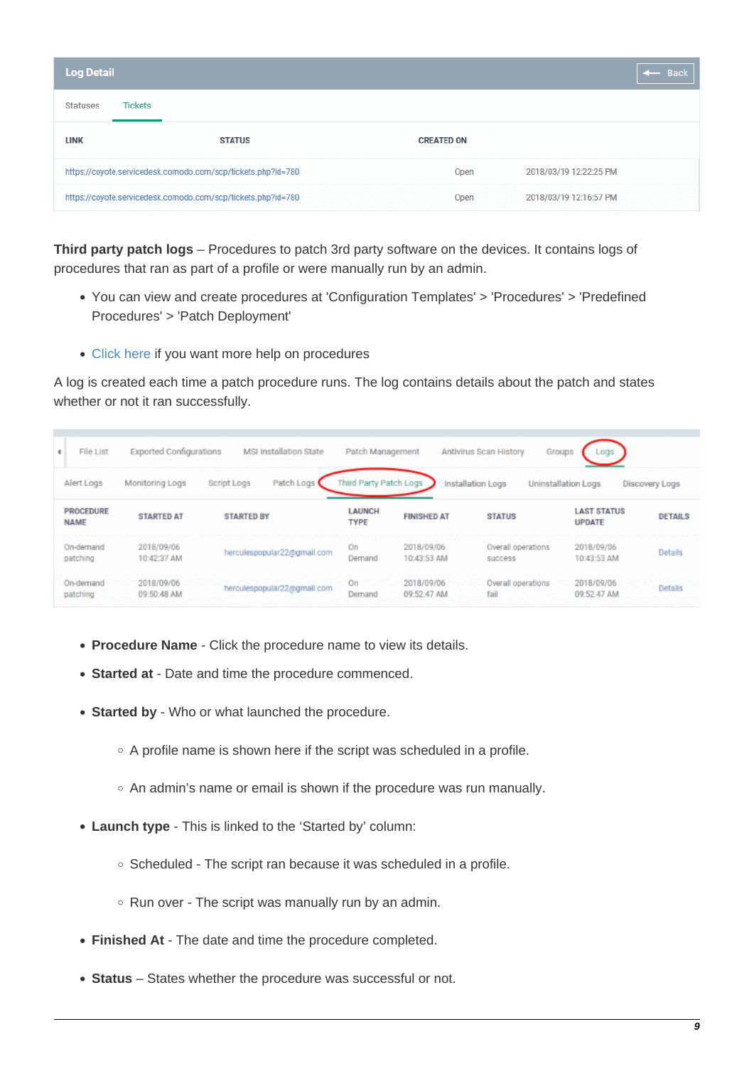| <b>Log Detail</b> |                |                                                              |                   |                        | <b>Back</b> |
|-------------------|----------------|--------------------------------------------------------------|-------------------|------------------------|-------------|
| <b>Statuses</b>   | <b>Tickets</b> |                                                              |                   |                        |             |
| <b>LINK</b>       |                | <b>STATUS</b>                                                | <b>CREATED ON</b> |                        |             |
|                   |                | https://coyote.servicedesk.comodo.com/scp/tickets.php?id=780 | Open              | 2018/03/19 12:22:25 PM |             |
|                   |                | https://coyote.servicedesk.comodo.com/scp/tickets.php?id=780 | Open              | 2018/03/19 12:16:57 PM |             |

<span id="page-8-0"></span>**Third party patch logs** – Procedures to patch 3rd party software on the devices. It contains logs of procedures that ran as part of a profile or were manually run by an admin.

- You can view and create procedures at 'Configuration Templates' > 'Procedures' > 'Predefined Procedures' > 'Patch Deployment'
- [Click here](https://wiki.itarian.com/frontend/web/topic/how-to-configure-and-run-procedures-on-managed-devices) if you want more help on procedures

A log is created each time a patch procedure runs. The log contains details about the patch and states whether or not it ran successfully.

| ٠ | File List                       | <b>Exported Configurations</b> | <b>MSI Installation State</b> | Patch Management             |                           | Antivirus Scan History<br><b>Groups</b> | Logs                                |                       |
|---|---------------------------------|--------------------------------|-------------------------------|------------------------------|---------------------------|-----------------------------------------|-------------------------------------|-----------------------|
|   | Alert Logs                      | Monitoring Logs                | Patch Logs<br>Script Logs     | Third Party Patch Logs       | Installation Logs         |                                         | <b>Uninstallation Logs</b>          | <b>Discovery Logs</b> |
|   | <b>PROCEDURE</b><br><b>NAME</b> | <b>STARTED AT</b>              | <b>STARTED BY</b>             | <b>LAUNCH</b><br><b>TYPE</b> | <b>FINISHED AT</b>        | <b>STATUS</b>                           | <b>LAST STATUS</b><br><b>UPDATE</b> | <b>DETAILS</b>        |
|   | On-demand<br>patching           | 2018/09/06<br>10:42:37 AM      | herculespopular22@gmail.com   | On<br>Demand                 | 2018/09/06<br>10:43:53 AM | Overall operations<br>success           | 2018/09/06<br>10:43:53 AM           | <b>Details</b>        |
|   | On-demand<br>patching           | 2018/09/06<br>09:50:48 AM      | herculespopular22@gmail.com   | On<br>Demand                 | 2018/09/06<br>09:52:47 AM | Overall operations<br>fail              | 2018/09/06<br>09:52:47 AM           | Details               |

- **Procedure Name** Click the procedure name to view its details.
- **Started at**  Date and time the procedure commenced.
- **Started by** Who or what launched the procedure.
	- $\circ$  A profile name is shown here if the script was scheduled in a profile.
	- $\circ$  An admin's name or email is shown if the procedure was run manually.
- **Launch type** This is linked to the 'Started by' column:
	- $\circ$  Scheduled The script ran because it was scheduled in a profile.
	- $\circ$  Run over The script was manually run by an admin.
- **Finished At** The date and time the procedure completed.
- **Status** States whether the procedure was successful or not.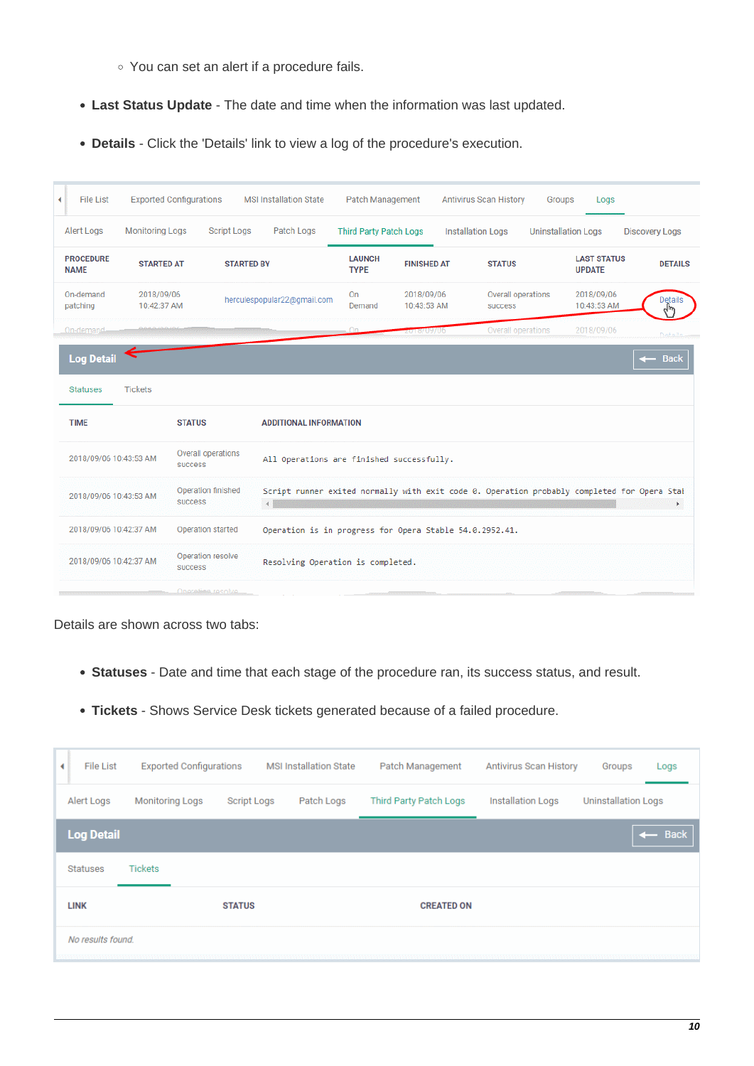- You can set an alert if a procedure fails.
- **Last Status Update** The date and time when the information was last updated.
- **Details** Click the 'Details' link to view a log of the procedure's execution.

| ۰ | <b>File List</b>                |                           | <b>Exported Configurations</b>       | <b>MSI Installation State</b>             | <b>Patch Management</b>       |                           | <b>Antivirus Scan History</b>                                                               | Groups             | Logs                                |                       |
|---|---------------------------------|---------------------------|--------------------------------------|-------------------------------------------|-------------------------------|---------------------------|---------------------------------------------------------------------------------------------|--------------------|-------------------------------------|-----------------------|
|   | Alert Logs                      | <b>Monitoring Logs</b>    | <b>Script Logs</b>                   | Patch Logs                                | <b>Third Party Patch Logs</b> |                           | <b>Installation Logs</b>                                                                    |                    | <b>Uninstallation Logs</b>          | <b>Discovery Logs</b> |
|   | <b>PROCEDURE</b><br><b>NAME</b> | <b>STARTED AT</b>         |                                      | <b>STARTED BY</b>                         | <b>LAUNCH</b><br><b>TYPE</b>  | <b>FINISHED AT</b>        | <b>STATUS</b>                                                                               |                    | <b>LAST STATUS</b><br><b>UPDATE</b> | <b>DETAILS</b>        |
|   | On-demand<br>patching           | 2018/09/06<br>10:42:37 AM |                                      | herculespopular22@gmail.com               | <b>On</b><br>Demand           | 2018/09/06<br>10:43:53 AM | success                                                                                     | Overall operations | 2018/09/06<br>10:43:53 AM           | <b>Details</b>        |
|   | On-demand-                      |                           |                                      |                                           |                               | 018709706                 |                                                                                             | Overall operations | 2018/09/06                          | Darbeill.             |
|   | <b>Log Detail</b>               |                           |                                      |                                           |                               |                           |                                                                                             |                    |                                     | <b>Back</b>           |
|   | <b>Statuses</b>                 | <b>Tickets</b>            |                                      |                                           |                               |                           |                                                                                             |                    |                                     |                       |
|   | <b>TIME</b>                     |                           | <b>STATUS</b>                        | <b>ADDITIONAL INFORMATION</b>             |                               |                           |                                                                                             |                    |                                     |                       |
|   | 2018/09/06 10:43:53 AM          |                           | Overall operations<br>success        | All Operations are finished successfully. |                               |                           |                                                                                             |                    |                                     |                       |
|   | 2018/09/06 10:43:53 AM          |                           | Operation finished<br><b>SUCCESS</b> |                                           |                               |                           | Script runner exited normally with exit code 0. Operation probably completed for Opera Stal |                    |                                     | Þ.                    |
|   | 2018/09/06 10:42:37 AM          |                           | Operation started                    |                                           |                               |                           | Operation is in progress for Opera Stable 54.0.2952.41.                                     |                    |                                     |                       |
|   | 2018/09/06 10:42:37 AM          |                           | Operation resolve<br><b>SUCCESS</b>  | Resolving Operation is completed.         |                               |                           |                                                                                             |                    |                                     |                       |
|   |                                 |                           | Onoretian.rosolvo                    |                                           |                               |                           |                                                                                             |                    |                                     |                       |

Details are shown across two tabs:

- **Statuses** Date and time that each stage of the procedure ran, its success status, and result.
- **Tickets** Shows Service Desk tickets generated because of a failed procedure.

<span id="page-9-0"></span>

| ٠ | <b>File List</b>  | <b>Exported Configurations</b> |                    | <b>MSI Installation State</b> | Patch Management       | <b>Antivirus Scan History</b> | Groups                     | Logs              |
|---|-------------------|--------------------------------|--------------------|-------------------------------|------------------------|-------------------------------|----------------------------|-------------------|
|   | Alert Logs        | <b>Monitoring Logs</b>         | <b>Script Logs</b> | Patch Logs                    | Third Party Patch Logs | <b>Installation Logs</b>      | <b>Uninstallation Logs</b> |                   |
|   | <b>Log Detail</b> |                                |                    |                               |                        |                               |                            | $\leftarrow$ Back |
|   | <b>Statuses</b>   | <b>Tickets</b>                 |                    |                               |                        |                               |                            |                   |
|   | <b>LINK</b>       |                                | <b>STATUS</b>      |                               | <b>CREATED ON</b>      |                               |                            |                   |
|   | No results found. |                                |                    |                               |                        |                               |                            |                   |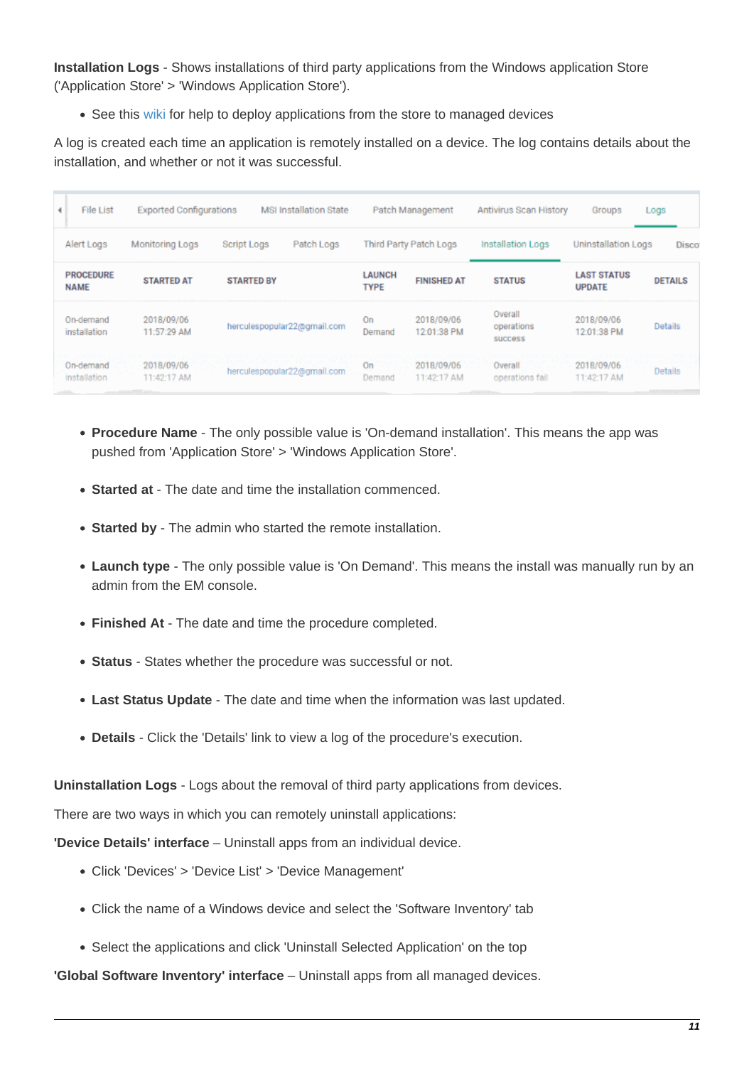**Installation Logs** - Shows installations of third party applications from the Windows application Store ('Application Store' > 'Windows Application Store').

• See this [wiki](https://wiki.itarian.com/frontend/web/topic/how-to-push-apps-to-windows-devices-from-the-application-store-in-endpoint-manager) for help to deploy applications from the store to managed devices

A log is created each time an application is remotely installed on a device. The log contains details about the installation, and whether or not it was successful.

| File List<br>٠                  | <b>Exported Configurations</b> |                   | <b>MSI Installation State</b> |                              | Patch Management          | Antivirus Scan History           | Groups                              | Logs           |
|---------------------------------|--------------------------------|-------------------|-------------------------------|------------------------------|---------------------------|----------------------------------|-------------------------------------|----------------|
| Alert Logs                      | Monitoring Logs                | Script Logs       | Patch Logs                    |                              | Third Party Patch Logs    | Installation Logs                | Uninstallation Logs                 | Disco          |
| <b>PROCEDURE</b><br><b>NAME</b> | <b>STARTED AT</b>              | <b>STARTED BY</b> |                               | <b>LAUNCH</b><br><b>TYPE</b> | <b>FINISHED AT</b>        | <b>STATUS</b>                    | <b>LAST STATUS</b><br><b>UPDATE</b> | <b>DETAILS</b> |
| On-demand<br>installation       | 2018/09/06<br>11:57:29 AM      |                   | herculespopular22@gmail.com   | On<br>Demand                 | 2018/09/06<br>12:01:38 PM | Overall<br>operations<br>success | 2018/09/06<br>12:01:38 PM           | Details        |
| On-demand<br>installation       | 2018/09/06<br>11:42:17 AM      |                   | herculespopular22@gmail.com   | On<br>Demand                 | 2018/09/06<br>11:42:17 AM | Overall<br>operations fail       | 2018/09/06<br>11:42:17 AM           | Details        |

- **Procedure Name** The only possible value is 'On-demand installation'. This means the app was pushed from 'Application Store' > 'Windows Application Store'.
- **Started at** The date and time the installation commenced.
- **Started by** The admin who started the remote installation.
- **Launch type** The only possible value is 'On Demand'. This means the install was manually run by an admin from the EM console.
- **Finished At** The date and time the procedure completed.
- **Status** States whether the procedure was successful or not.
- **Last Status Update** The date and time when the information was last updated.
- **Details** Click the 'Details' link to view a log of the procedure's execution.

<span id="page-10-0"></span>**Uninstallation Logs** - Logs about the removal of third party applications from devices.

There are two ways in which you can remotely uninstall applications:

**'Device Details' interface** – Uninstall apps from an individual device.

- Click 'Devices' > 'Device List' > 'Device Management'
- Click the name of a Windows device and select the 'Software Inventory' tab
- Select the applications and click 'Uninstall Selected Application' on the top

**'Global Software Inventory' interface** – Uninstall apps from all managed devices.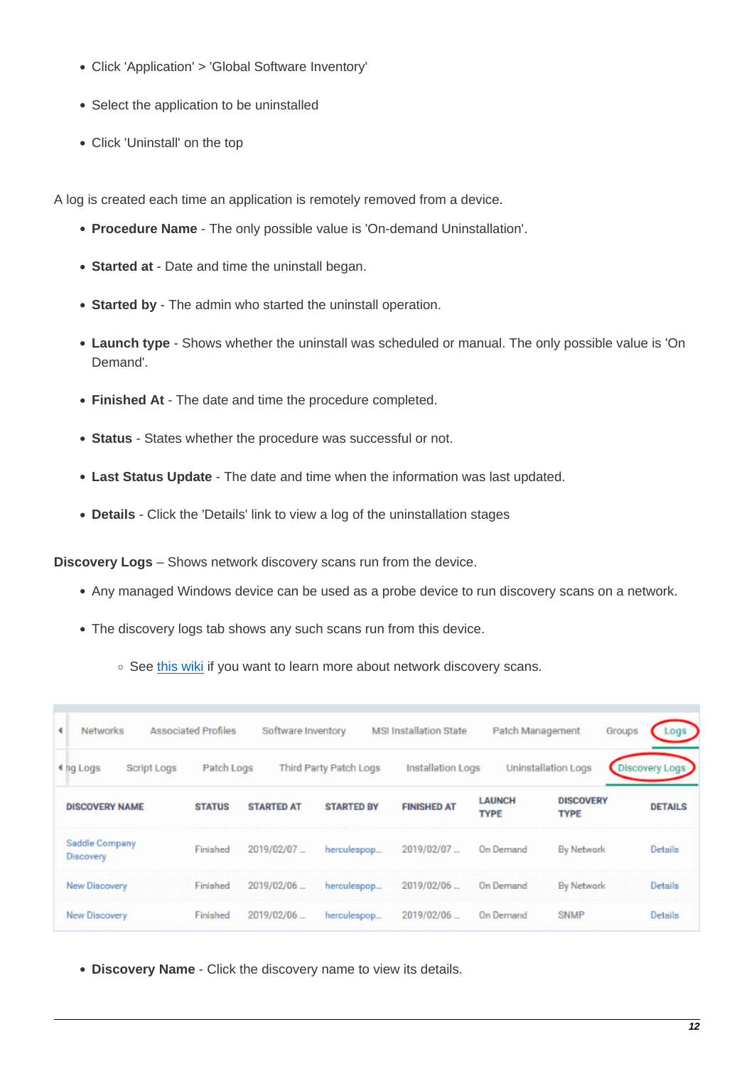- Click 'Application' > 'Global Software Inventory'
- Select the application to be uninstalled
- Click 'Uninstall' on the top

A log is created each time an application is remotely removed from a device.

- **Procedure Name** The only possible value is 'On-demand Uninstallation'.
- **Started at**  Date and time the uninstall began.
- **Started by** The admin who started the uninstall operation.
- **Launch type** Shows whether the uninstall was scheduled or manual. The only possible value is 'On Demand'.
- **Finished At** The date and time the procedure completed.
- **Status** States whether the procedure was successful or not.
- **Last Status Update** The date and time when the information was last updated.
- **Details** Click the 'Details' link to view a log of the uninstallation stages

<span id="page-11-0"></span>**Discovery Logs** – Shows network discovery scans run from the device.

- Any managed Windows device can be used as a probe device to run discovery scans on a network.
- The discovery logs tab shows any such scans run from this device.
	- See [this wiki](https://wiki.itarian.com/frontend/web/topic/how-to-scan-a-network-and-auto-enroll-devices-using-endpoint-manager) if you want to learn more about network discovery scans.

| ٠<br><b>Networks</b>        | <b>Associated Profiles</b> | Software Inventory |                        | <b>MSI Installation State</b> | Patch Management             |                                 | Groups<br>Logs        |
|-----------------------------|----------------------------|--------------------|------------------------|-------------------------------|------------------------------|---------------------------------|-----------------------|
| Script Logs<br>4 ng Logs    | Patch Logs                 |                    | Third Party Patch Logs | Installation Logs             |                              | <b>Uninstallation Logs</b>      | <b>Discovery Logs</b> |
| <b>DISCOVERY NAME</b>       | <b>STATUS</b>              | <b>STARTED AT</b>  | <b>STARTED BY</b>      | <b>FINISHED AT</b>            | <b>LAUNCH</b><br><b>TYPE</b> | <b>DISCOVERY</b><br><b>TYPE</b> | <b>DETAILS</b>        |
| Saddle Company<br>Discovery | Finished                   | 2019/02/07.        | herculespop            | 2019/02/07                    | On Demand                    | <b>By Network</b>               | Details               |
| New Discovery               | Finished                   | 2019/02/06         | herculespop            | 2019/02/06  On Demand         |                              | <b>By Network</b>               | Details               |
| New Discovery               | Finished                   | 2019/02/06         | herculespop            | 2019/02/06                    | On Demand                    | <b>SNMP</b>                     | Details               |

**Discovery Name** - Click the discovery name to view its details.